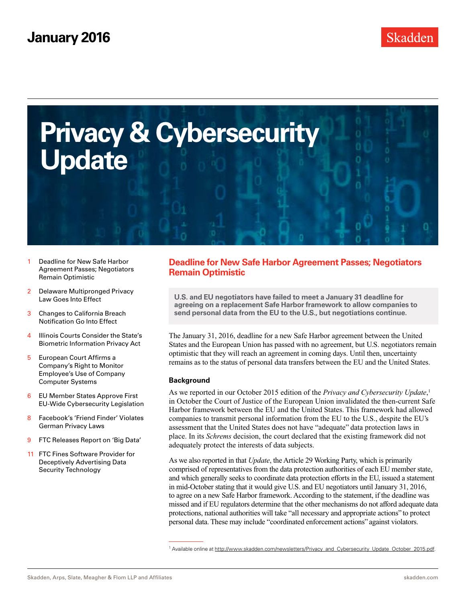<span id="page-0-0"></span>

- 1 Deadline for New Safe Harbor Agreement Passes; Negotiators Remain Optimistic
- 2 [Delaware Multipronged Privacy](#page-1-0)  [Law Goes Into Effect](#page-1-0)
- 3 [Changes to California Breach](#page-2-0)  [Notification Go Into Effect](#page-2-0)
- 4 [Illinois Courts Consider the State's](#page-3-0)  [Biometric Information Privacy Act](#page-3-0)
- 5 [European Court Affirms a](#page-4-0)  [Company's Right to Monitor](#page-4-0)  [Employee's Use of Company](#page-4-0)  [Computer Systems](#page-4-0)
- 6 [EU Member States Approve First](#page-5-0)  [EU-Wide Cybersecurity Legislation](#page-5-0)
- 8 [Facebook's 'Friend Finder' Violates](#page-7-0)  [German Privacy Laws](#page-7-0)
- 9 [FTC Releases Report on 'Big Data'](#page-8-0)
- 11 [FTC Fines Software Provider for](#page-10-0)  [Deceptively Advertising Data](#page-10-0)  [Security Technology](#page-10-0)

## **Deadline for New Safe Harbor Agreement Passes; Negotiators Remain Optimistic**

**U.S. and EU negotiators have failed to meet a January 31 deadline for agreeing on a replacement Safe Harbor framework to allow companies to send personal data from the EU to the U.S., but negotiations continue.** 

The January 31, 2016, deadline for a new Safe Harbor agreement between the United States and the European Union has passed with no agreement, but U.S. negotiators remain optimistic that they will reach an agreement in coming days. Until then, uncertainty remains as to the status of personal data transfers between the EU and the United States.

#### **Background**

As we reported in our October 2015 edition of the *Privacy and Cybersecurity Update*, 1 in October the Court of Justice of the European Union invalidated the then-current Safe Harbor framework between the EU and the United States. This framework had allowed companies to transmit personal information from the EU to the U.S., despite the EU's assessment that the United States does not have "adequate" data protection laws in place. In its *Schrems* decision, the court declared that the existing framework did not adequately protect the interests of data subjects.

As we also reported in that *Update*, the Article 29 Working Party, which is primarily comprised of representatives from the data protection authorities of each EU member state, and which generally seeks to coordinate data protection efforts in the EU, issued a statement in mid-October stating that it would give U.S. and EU negotiators until January 31, 2016, to agree on a new Safe Harbor framework. According to the statement, if the deadline was missed and if EU regulators determine that the other mechanisms do not afford adequate data protections, national authorities will take "all necessary and appropriate actions" to protect personal data. These may include "coordinated enforcement actions" against violators.

<sup>1</sup> Available online at [http://www.skadden.com/newsletters/Privacy\\_and\\_Cybersecurity\\_Update\\_October\\_2015.pdf.](http://www.skadden.com/newsletters/Privacy_and_Cybersecurity_Update_October_2015.pdf)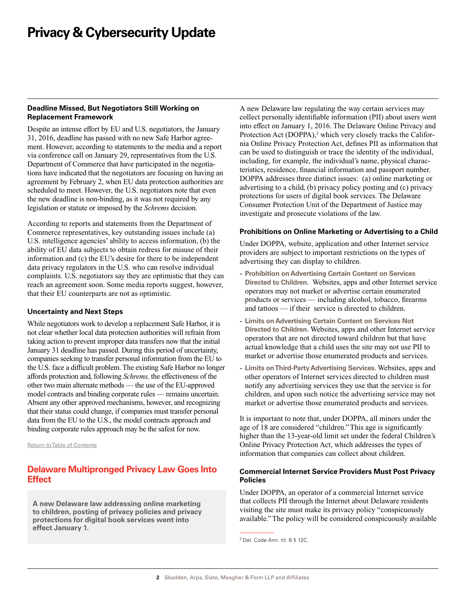#### <span id="page-1-0"></span>**Deadline Missed, But Negotiators Still Working on Replacement Framework**

Despite an intense effort by EU and U.S. negotiators, the January 31, 2016, deadline has passed with no new Safe Harbor agreement. However, according to statements to the media and a report via conference call on January 29, representatives from the U.S. Department of Commerce that have participated in the negotiations have indicated that the negotiators are focusing on having an agreement by February 2, when EU data protection authorities are scheduled to meet. However, the U.S. negotiators note that even the new deadline is non-binding, as it was not required by any legislation or statute or imposed by the *Schrems* decision.

According to reports and statements from the Department of Commerce representatives, key outstanding issues include (a) U.S. intelligence agencies' ability to access information, (b) the ability of EU data subjects to obtain redress for misuse of their information and (c) the EU's desire for there to be independent data privacy regulators in the U.S. who can resolve individual complaints. U.S. negotiators say they are optimistic that they can reach an agreement soon. Some media reports suggest, however, that their EU counterparts are not as optimistic.

#### **Uncertainty and Next Steps**

While negotiators work to develop a replacement Safe Harbor, it is not clear whether local data protection authorities will refrain from taking action to prevent improper data transfers now that the initial January 31 deadline has passed. During this period of uncertainty, companies seeking to transfer personal information from the EU to the U.S. face a difficult problem. The existing Safe Harbor no longer affords protection and, following *Schrems,* the effectiveness of the other two main alternate methods — the use of the EU-approved model contracts and binding corporate rules — remains uncertain. Absent any other approved mechanisms, however, and recognizing that their status could change, if companies must transfer personal data from the EU to the U.S., the model contracts approach and binding corporate rules approach may be the safest for now.

[Return to Table of Contents](#page-0-0)

### **Delaware Multipronged Privacy Law Goes Into Effect**

**A new Delaware law addressing online marketing to children, posting of privacy policies and privacy protections for digital book services went into effect January 1.** 

A new Delaware law regulating the way certain services may collect personally identifiable information (PII) about users went into effect on January 1, 2016. The Delaware Online Privacy and Protection Act (DOPPA),<sup>2</sup> which very closely tracks the California Online Privacy Protection Act, defines PII as information that can be used to distinguish or trace the identity of the individual, including, for example, the individual's name, physical characteristics, residence, financial information and passport number. DOPPA addresses three distinct issues: (a) online marketing or advertising to a child, (b) privacy policy posting and (c) privacy protections for users of digital book services. The Delaware Consumer Protection Unit of the Department of Justice may investigate and prosecute violations of the law.

#### **Prohibitions on Online Marketing or Advertising to a Child**

Under DOPPA, website, application and other Internet service providers are subject to important restrictions on the types of advertising they can display to children.

- **Prohibition on Advertising Certain Content on Services Directed to Children**. Websites, apps and other Internet service operators may not market or advertise certain enumerated products or services — including alcohol, tobacco, firearms and tattoos — if their service is directed to children.
- **Limits on Advertising Certain Content on Services Not Directed to Children.** Websites, apps and other Internet service operators that are not directed toward children but that have actual knowledge that a child uses the site may not use PII to market or advertise those enumerated products and services.
- **Limits on Third-Party Advertising Services.** Websites, apps and other operators of Internet services directed to children must notify any advertising services they use that the service is for children, and upon such notice the advertising service may not market or advertise those enumerated products and services.

It is important to note that, under DOPPA, all minors under the age of 18 are considered "children." This age is significantly higher than the 13-year-old limit set under the federal Children's Online Privacy Protection Act, which addresses the types of information that companies can collect about children.

#### **Commercial Internet Service Providers Must Post Privacy Policies**

Under DOPPA, an operator of a commercial Internet service that collects PII through the Internet about Delaware residents visiting the site must make its privacy policy "conspicuously available." The policy will be considered conspicuously available

<sup>2</sup> Del. Code Ann. tit. 6 § 12C.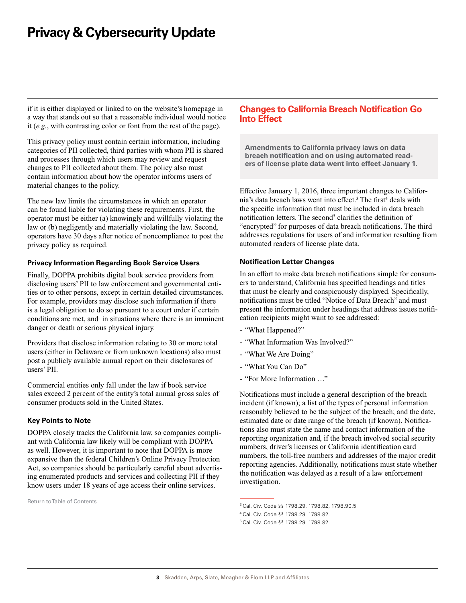<span id="page-2-0"></span>if it is either displayed or linked to on the website's homepage in a way that stands out so that a reasonable individual would notice it (*e.g.*, with contrasting color or font from the rest of the page).

This privacy policy must contain certain information, including categories of PII collected, third parties with whom PII is shared and processes through which users may review and request changes to PII collected about them. The policy also must contain information about how the operator informs users of material changes to the policy.

The new law limits the circumstances in which an operator can be found liable for violating these requirements. First, the operator must be either (a) knowingly and willfully violating the law or (b) negligently and materially violating the law. Second, operators have 30 days after notice of noncompliance to post the privacy policy as required.

#### **Privacy Information Regarding Book Service Users**

Finally, DOPPA prohibits digital book service providers from disclosing users' PII to law enforcement and governmental entities or to other persons, except in certain detailed circumstances. For example, providers may disclose such information if there is a legal obligation to do so pursuant to a court order if certain conditions are met, and in situations where there is an imminent danger or death or serious physical injury.

Providers that disclose information relating to 30 or more total users (either in Delaware or from unknown locations) also must post a publicly available annual report on their disclosures of users' PII.

Commercial entities only fall under the law if book service sales exceed 2 percent of the entity's total annual gross sales of consumer products sold in the United States.

#### **Key Points to Note**

DOPPA closely tracks the California law, so companies compliant with California law likely will be compliant with DOPPA as well. However, it is important to note that DOPPA is more expansive than the federal Children's Online Privacy Protection Act, so companies should be particularly careful about advertising enumerated products and services and collecting PII if they know users under 18 years of age access their online services.

[Return to Table of Contents](#page-0-0)

### **Changes to California Breach Notification Go Into Effect**

**Amendments to California privacy laws on data breach notification and on using automated readers of license plate data went into effect January 1.** 

Effective January 1, 2016, three important changes to California's data breach laws went into effect.<sup>3</sup> The first<sup>4</sup> deals with the specific information that must be included in data breach notification letters. The second<sup>5</sup> clarifies the definition of "encrypted" for purposes of data breach notifications. The third addresses regulations for users of and information resulting from automated readers of license plate data.

#### **Notification Letter Changes**

In an effort to make data breach notifications simple for consumers to understand, California has specified headings and titles that must be clearly and conspicuously displayed. Specifically, notifications must be titled "Notice of Data Breach" and must present the information under headings that address issues notification recipients might want to see addressed:

- "What Happened?"
- "What Information Was Involved?"
- "What We Are Doing"
- "What You Can Do"
- "For More Information …"

Notifications must include a general description of the breach incident (if known); a list of the types of personal information reasonably believed to be the subject of the breach; and the date, estimated date or date range of the breach (if known). Notifications also must state the name and contact information of the reporting organization and, if the breach involved social security numbers, driver's licenses or California identification card numbers, the toll-free numbers and addresses of the major credit reporting agencies. Additionally, notifications must state whether the notification was delayed as a result of a law enforcement investigation.

<sup>3</sup> Cal. Civ. Code §§ 1798.29, 1798.82, 1798.90.5.

<sup>4</sup> Cal. Civ. Code §§ 1798.29, 1798.82.

<sup>5</sup> Cal. Civ. Code §§ 1798.29, 1798.82.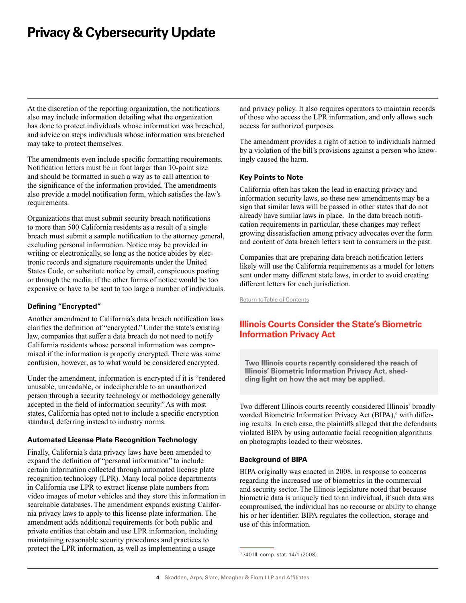<span id="page-3-0"></span>At the discretion of the reporting organization, the notifications also may include information detailing what the organization has done to protect individuals whose information was breached, and advice on steps individuals whose information was breached may take to protect themselves.

The amendments even include specific formatting requirements. Notification letters must be in font larger than 10-point size and should be formatted in such a way as to call attention to the significance of the information provided. The amendments also provide a model notification form, which satisfies the law's requirements.

Organizations that must submit security breach notifications to more than 500 California residents as a result of a single breach must submit a sample notification to the attorney general, excluding personal information. Notice may be provided in writing or electronically, so long as the notice abides by electronic records and signature requirements under the United States Code, or substitute notice by email, conspicuous posting or through the media, if the other forms of notice would be too expensive or have to be sent to too large a number of individuals.

### **Defining "Encrypted"**

Another amendment to California's data breach notification laws clarifies the definition of "encrypted." Under the state's existing law, companies that suffer a data breach do not need to notify California residents whose personal information was compromised if the information is properly encrypted. There was some confusion, however, as to what would be considered encrypted.

Under the amendment, information is encrypted if it is "rendered unusable, unreadable, or indecipherable to an unauthorized person through a security technology or methodology generally accepted in the field of information security." As with most states, California has opted not to include a specific encryption standard, deferring instead to industry norms.

#### **Automated License Plate Recognition Technology**

Finally, California's data privacy laws have been amended to expand the definition of "personal information" to include certain information collected through automated license plate recognition technology (LPR). Many local police departments in California use LPR to extract license plate numbers from video images of motor vehicles and they store this information in searchable databases. The amendment expands existing California privacy laws to apply to this license plate information. The amendment adds additional requirements for both public and private entities that obtain and use LPR information, including maintaining reasonable security procedures and practices to protect the LPR information, as well as implementing a usage

and privacy policy. It also requires operators to maintain records of those who access the LPR information, and only allows such access for authorized purposes.

The amendment provides a right of action to individuals harmed by a violation of the bill's provisions against a person who knowingly caused the harm.

#### **Key Points to Note**

California often has taken the lead in enacting privacy and information security laws, so these new amendments may be a sign that similar laws will be passed in other states that do not already have similar laws in place. In the data breach notification requirements in particular, these changes may reflect growing dissatisfaction among privacy advocates over the form and content of data breach letters sent to consumers in the past.

Companies that are preparing data breach notification letters likely will use the California requirements as a model for letters sent under many different state laws, in order to avoid creating different letters for each jurisdiction.

[Return to Table of Contents](#page-0-0)

## **Illinois Courts Consider the State's Biometric Information Privacy Act**

**Two Illinois courts recently considered the reach of Illinois' Biometric Information Privacy Act, shedding light on how the act may be applied.** 

Two different Illinois courts recently considered Illinois' broadly worded Biometric Information Privacy Act (BIPA),<sup>6</sup> with differing results. In each case, the plaintiffs alleged that the defendants violated BIPA by using automatic facial recognition algorithms on photographs loaded to their websites.

#### **Background of BIPA**

BIPA originally was enacted in 2008, in response to concerns regarding the increased use of biometrics in the commercial and security sector. The Illinois legislature noted that because biometric data is uniquely tied to an individual, if such data was compromised, the individual has no recourse or ability to change his or her identifier. BIPA regulates the collection, storage and use of this information.

<sup>6</sup> 740 Ill. comp. stat. 14/1 (2008).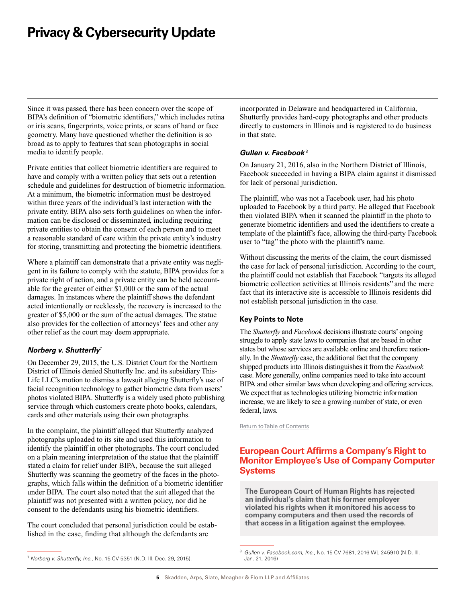<span id="page-4-0"></span>Since it was passed, there has been concern over the scope of BIPA's definition of "biometric identifiers," which includes retina or iris scans, fingerprints, voice prints, or scans of hand or face geometry. Many have questioned whether the definition is so broad as to apply to features that scan photographs in social media to identify people.

Private entities that collect biometric identifiers are required to have and comply with a written policy that sets out a retention schedule and guidelines for destruction of biometric information. At a minimum, the biometric information must be destroyed within three years of the individual's last interaction with the private entity. BIPA also sets forth guidelines on when the information can be disclosed or disseminated, including requiring private entities to obtain the consent of each person and to meet a reasonable standard of care within the private entity's industry for storing, transmitting and protecting the biometric identifiers.

Where a plaintiff can demonstrate that a private entity was negligent in its failure to comply with the statute, BIPA provides for a private right of action, and a private entity can be held accountable for the greater of either \$1,000 or the sum of the actual damages. In instances where the plaintiff shows the defendant acted intentionally or recklessly, the recovery is increased to the greater of \$5,000 or the sum of the actual damages. The statue also provides for the collection of attorneys' fees and other any other relief as the court may deem appropriate.

### *Norberg v. Shutterfly*<sup>7</sup>

On December 29, 2015, the U.S. District Court for the Northern District of Illinois denied Shutterfly Inc. and its subsidiary This-Life LLC's motion to dismiss a lawsuit alleging Shutterfly's use of facial recognition technology to gather biometric data from users' photos violated BIPA. Shutterfly is a widely used photo publishing service through which customers create photo books, calendars, cards and other materials using their own photographs.

In the complaint, the plaintiff alleged that Shutterfly analyzed photographs uploaded to its site and used this information to identify the plaintiff in other photographs. The court concluded on a plain meaning interpretation of the statue that the plaintiff stated a claim for relief under BIPA, because the suit alleged Shutterfly was scanning the geometry of the faces in the photographs, which falls within the definition of a biometric identifier under BIPA. The court also noted that the suit alleged that the plaintiff was not presented with a written policy, nor did he consent to the defendants using his biometric identifiers.

The court concluded that personal jurisdiction could be established in the case, finding that although the defendants are

incorporated in Delaware and headquartered in California, Shutterfly provides hard-copy photographs and other products directly to customers in Illinois and is registered to do business in that state.

#### *Gullen v. Facebook* <sup>8</sup>

On January 21, 2016, also in the Northern District of Illinois, Facebook succeeded in having a BIPA claim against it dismissed for lack of personal jurisdiction.

The plaintiff, who was not a Facebook user, had his photo uploaded to Facebook by a third party. He alleged that Facebook then violated BIPA when it scanned the plaintiff in the photo to generate biometric identifiers and used the identifiers to create a template of the plaintiff's face, allowing the third-party Facebook user to "tag" the photo with the plaintiff's name.

Without discussing the merits of the claim, the court dismissed the case for lack of personal jurisdiction. According to the court, the plaintiff could not establish that Facebook "targets its alleged biometric collection activities at Illinois residents" and the mere fact that its interactive site is accessible to Illinois residents did not establish personal jurisdiction in the case.

### **Key Points to Note**

The *Shutterfly* and *Facebook* decisions illustrate courts' ongoing struggle to apply state laws to companies that are based in other states but whose services are available online and therefore nationally. In the *Shutterfly* case, the additional fact that the company shipped products into Illinois distinguishes it from the *Facebook* case. More generally, online companies need to take into account BIPA and other similar laws when developing and offering services. We expect that as technologies utilizing biometric information increase, we are likely to see a growing number of state, or even federal, laws.

[Return to Table of Contents](#page-0-0)

## **European Court Affirms a Company's Right to Monitor Employee's Use of Company Computer Systems**

**The European Court of Human Rights has rejected an individual's claim that his former employer violated his rights when it monitored his access to company computers and then used the records of that access in a litigation against the employee.** 

<sup>7</sup> *Norberg v. Shutterfly, Inc.*, No. 15 CV 5351 (N.D. Ill. Dec. 29, 2015).

<sup>8</sup> *Gullen v. Facebook.com, Inc.*, No. 15 CV 7681, 2016 WL 245910 (N.D. Ill. Jan. 21, 2016)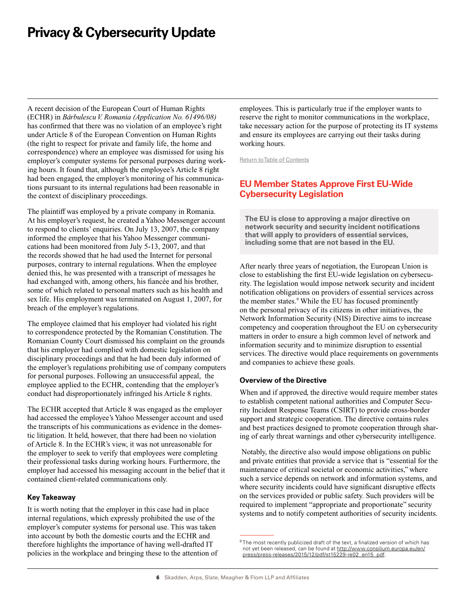<span id="page-5-0"></span>A recent decision of the European Court of Human Rights (ECHR) in *Baˇrbulescu V. Romania (Application No. 61496/08)* has confirmed that there was no violation of an employee's right under Article 8 of the European Convention on Human Rights (the right to respect for private and family life, the home and correspondence) where an employee was dismissed for using his employer's computer systems for personal purposes during working hours. It found that, although the employee's Article 8 right had been engaged, the employer's monitoring of his communications pursuant to its internal regulations had been reasonable in the context of disciplinary proceedings.

The plaintiff was employed by a private company in Romania. At his employer's request, he created a Yahoo Messenger account to respond to clients' enquiries. On July 13, 2007, the company informed the employee that his Yahoo Messenger communications had been monitored from July 5-13, 2007, and that the records showed that he had used the Internet for personal purposes, contrary to internal regulations. When the employee denied this, he was presented with a transcript of messages he had exchanged with, among others, his fiancée and his brother, some of which related to personal matters such as his health and sex life. His employment was terminated on August 1, 2007, for breach of the employer's regulations.

The employee claimed that his employer had violated his right to correspondence protected by the Romanian Constitution. The Romanian County Court dismissed his complaint on the grounds that his employer had complied with domestic legislation on disciplinary proceedings and that he had been duly informed of the employer's regulations prohibiting use of company computers for personal purposes. Following an unsuccessful appeal, the employee applied to the ECHR, contending that the employer's conduct had disproportionately infringed his Article 8 rights.

The ECHR accepted that Article 8 was engaged as the employer had accessed the employee's Yahoo Messenger account and used the transcripts of his communications as evidence in the domestic litigation. It held, however, that there had been no violation of Article 8. In the ECHR's view, it was not unreasonable for the employer to seek to verify that employees were completing their professional tasks during working hours. Furthermore, the employer had accessed his messaging account in the belief that it contained client-related communications only.

#### **Key Takeaway**

It is worth noting that the employer in this case had in place internal regulations, which expressly prohibited the use of the employer's computer systems for personal use. This was taken into account by both the domestic courts and the ECHR and therefore highlights the importance of having well-drafted IT policies in the workplace and bringing these to the attention of employees. This is particularly true if the employer wants to reserve the right to monitor communications in the workplace, take necessary action for the purpose of protecting its IT systems and ensure its employees are carrying out their tasks during working hours.

[Return to Table of Contents](#page-0-0)

## **EU Member States Approve First EU-Wide Cybersecurity Legislation**

**The EU is close to approving a major directive on network security and security incident notifications that will apply to providers of essential services, including some that are not based in the EU.** 

After nearly three years of negotiation, the European Union is close to establishing the first EU-wide legislation on cybersecurity. The legislation would impose network security and incident notification obligations on providers of essential services across the member states.<sup>9</sup> While the EU has focused prominently on the personal privacy of its citizens in other initiatives, the Network Information Security (NIS) Directive aims to increase competency and cooperation throughout the EU on cybersecurity matters in order to ensure a high common level of network and information security and to minimize disruption to essential services. The directive would place requirements on governments and companies to achieve these goals.

#### **Overview of the Directive**

When and if approved, the directive would require member states to establish competent national authorities and Computer Security Incident Response Teams (CSIRT) to provide cross-border support and strategic cooperation. The directive contains rules and best practices designed to promote cooperation through sharing of early threat warnings and other cybersecurity intelligence.

 Notably, the directive also would impose obligations on public and private entities that provide a service that is "essential for the maintenance of critical societal or economic activities," where such a service depends on network and information systems, and where security incidents could have significant disruptive effects on the services provided or public safety. Such providers will be required to implement "appropriate and proportionate" security systems and to notify competent authorities of security incidents.

<sup>&</sup>lt;sup>9</sup> The most recently publicized draft of the text, a finalized version of which has not yet been released, can be found at [http://www.consilium.europa.eu/en/](http://www.consilium.europa.eu/en/press/press-releases/2015/12/pdf/st15229-re02_en15_pdf) [press/press-releases/2015/12/pdf/st15229-re02\\_en15\\_pdf](http://www.consilium.europa.eu/en/press/press-releases/2015/12/pdf/st15229-re02_en15_pdf).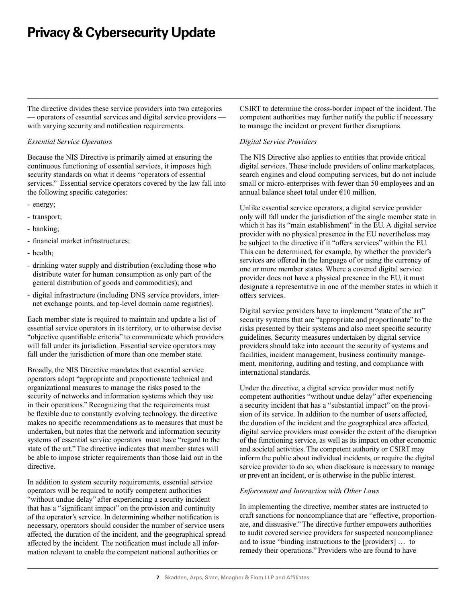The directive divides these service providers into two categories — operators of essential services and digital service providers with varying security and notification requirements.

#### *Essential Service Operators*

Because the NIS Directive is primarily aimed at ensuring the continuous functioning of essential services, it imposes high security standards on what it deems "operators of essential services." Essential service operators covered by the law fall into the following specific categories:

- energy;
- transport;
- banking;
- financial market infrastructures;
- health;
- drinking water supply and distribution (excluding those who distribute water for human consumption as only part of the general distribution of goods and commodities); and
- digital infrastructure (including DNS service providers, internet exchange points, and top-level domain name registries).

Each member state is required to maintain and update a list of essential service operators in its territory, or to otherwise devise "objective quantifiable criteria" to communicate which providers will fall under its jurisdiction. Essential service operators may fall under the jurisdiction of more than one member state.

Broadly, the NIS Directive mandates that essential service operators adopt "appropriate and proportionate technical and organizational measures to manage the risks posed to the security of networks and information systems which they use in their operations." Recognizing that the requirements must be flexible due to constantly evolving technology, the directive makes no specific recommendations as to measures that must be undertaken, but notes that the network and information security systems of essential service operators must have "regard to the state of the art." The directive indicates that member states will be able to impose stricter requirements than those laid out in the directive.

In addition to system security requirements, essential service operators will be required to notify competent authorities "without undue delay" after experiencing a security incident that has a "significant impact" on the provision and continuity of the operator's service. In determining whether notification is necessary, operators should consider the number of service users affected, the duration of the incident, and the geographical spread affected by the incident. The notification must include all information relevant to enable the competent national authorities or

CSIRT to determine the cross-border impact of the incident. The competent authorities may further notify the public if necessary to manage the incident or prevent further disruptions.

#### *Digital Service Providers*

The NIS Directive also applies to entities that provide critical digital services. These include providers of online marketplaces, search engines and cloud computing services, but do not include small or micro-enterprises with fewer than 50 employees and an annual balance sheet total under €10 million.

Unlike essential service operators, a digital service provider only will fall under the jurisdiction of the single member state in which it has its "main establishment" in the EU. A digital service provider with no physical presence in the EU nevertheless may be subject to the directive if it "offers services" within the EU. This can be determined, for example, by whether the provider's services are offered in the language of or using the currency of one or more member states. Where a covered digital service provider does not have a physical presence in the EU, it must designate a representative in one of the member states in which it offers services.

Digital service providers have to implement "state of the art" security systems that are "appropriate and proportionate" to the risks presented by their systems and also meet specific security guidelines. Security measures undertaken by digital service providers should take into account the security of systems and facilities, incident management, business continuity management, monitoring, auditing and testing, and compliance with international standards.

Under the directive, a digital service provider must notify competent authorities "without undue delay" after experiencing a security incident that has a "substantial impact" on the provision of its service. In addition to the number of users affected, the duration of the incident and the geographical area affected, digital service providers must consider the extent of the disruption of the functioning service, as well as its impact on other economic and societal activities. The competent authority or CSIRT may inform the public about individual incidents, or require the digital service provider to do so, when disclosure is necessary to manage or prevent an incident, or is otherwise in the public interest.

#### *Enforcement and Interaction with Other Laws*

In implementing the directive, member states are instructed to craft sanctions for noncompliance that are "effective, proportionate, and dissuasive." The directive further empowers authorities to audit covered service providers for suspected noncompliance and to issue "binding instructions to the [providers] … to remedy their operations." Providers who are found to have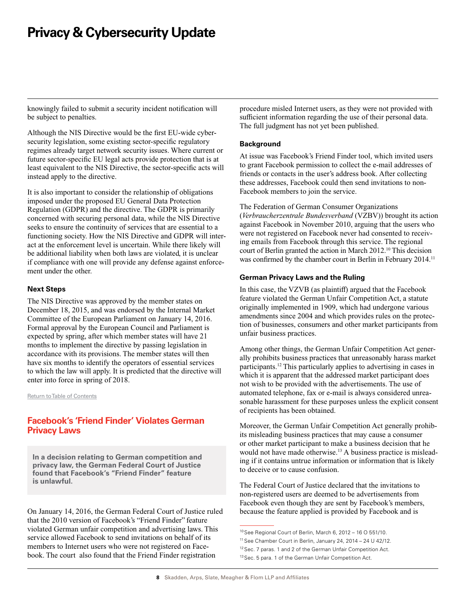<span id="page-7-0"></span>knowingly failed to submit a security incident notification will be subject to penalties.

Although the NIS Directive would be the first EU-wide cybersecurity legislation, some existing sector-specific regulatory regimes already target network security issues. Where current or future sector-specific EU legal acts provide protection that is at least equivalent to the NIS Directive, the sector-specific acts will instead apply to the directive.

It is also important to consider the relationship of obligations imposed under the proposed EU General Data Protection Regulation (GDPR) and the directive. The GDPR is primarily concerned with securing personal data, while the NIS Directive seeks to ensure the continuity of services that are essential to a functioning society. How the NIS Directive and GDPR will interact at the enforcement level is uncertain. While there likely will be additional liability when both laws are violated, it is unclear if compliance with one will provide any defense against enforcement under the other.

#### **Next Steps**

The NIS Directive was approved by the member states on December 18, 2015, and was endorsed by the Internal Market Committee of the European Parliament on January 14, 2016. Formal approval by the European Council and Parliament is expected by spring, after which member states will have 21 months to implement the directive by passing legislation in accordance with its provisions. The member states will then have six months to identify the operators of essential services to which the law will apply. It is predicted that the directive will enter into force in spring of 2018.

[Return to Table of Contents](#page-0-0)

## **Facebook's 'Friend Finder' Violates German Privacy Laws**

**In a decision relating to German competition and privacy law, the German Federal Court of Justice found that Facebook's "Friend Finder" feature is unlawful.**

On January 14, 2016, the German Federal Court of Justice ruled that the 2010 version of Facebook's "Friend Finder" feature violated German unfair competition and advertising laws. This service allowed Facebook to send invitations on behalf of its members to Internet users who were not registered on Facebook. The court also found that the Friend Finder registration

procedure misled Internet users, as they were not provided with sufficient information regarding the use of their personal data. The full judgment has not yet been published.

### **Background**

At issue was Facebook's Friend Finder tool, which invited users to grant Facebook permission to collect the e-mail addresses of friends or contacts in the user's address book. After collecting these addresses, Facebook could then send invitations to non-Facebook members to join the service.

The Federation of German Consumer Organizations (*Verbraucherzentrale Bundesverband* (VZBV)) brought its action against Facebook in November 2010, arguing that the users who were not registered on Facebook never had consented to receiving emails from Facebook through this service. The regional court of Berlin granted the action in March 2012.<sup>10</sup> This decision was confirmed by the chamber court in Berlin in February 2014.11

### **German Privacy Laws and the Ruling**

In this case, the VZVB (as plaintiff) argued that the Facebook feature violated the German Unfair Competition Act, a statute originally implemented in 1909, which had undergone various amendments since 2004 and which provides rules on the protection of businesses, consumers and other market participants from unfair business practices.

Among other things, the German Unfair Competition Act generally prohibits business practices that unreasonably harass market participants.12 This particularly applies to advertising in cases in which it is apparent that the addressed market participant does not wish to be provided with the advertisements. The use of automated telephone, fax or e-mail is always considered unreasonable harassment for these purposes unless the explicit consent of recipients has been obtained.

Moreover, the German Unfair Competition Act generally prohibits misleading business practices that may cause a consumer or other market participant to make a business decision that he would not have made otherwise.<sup>13</sup> A business practice is misleading if it contains untrue information or information that is likely to deceive or to cause confusion.

The Federal Court of Justice declared that the invitations to non-registered users are deemed to be advertisements from Facebook even though they are sent by Facebook's members, because the feature applied is provided by Facebook and is

<sup>10</sup>See Regional Court of Berlin, March 6, 2012 – 16 O 551/10.

<sup>11</sup> See Chamber Court in Berlin, January 24, 2014 – 24 U 42/12.

<sup>&</sup>lt;sup>12</sup> Sec. 7 paras. 1 and 2 of the German Unfair Competition Act.

<sup>13</sup> Sec. 5 para. 1 of the German Unfair Competition Act.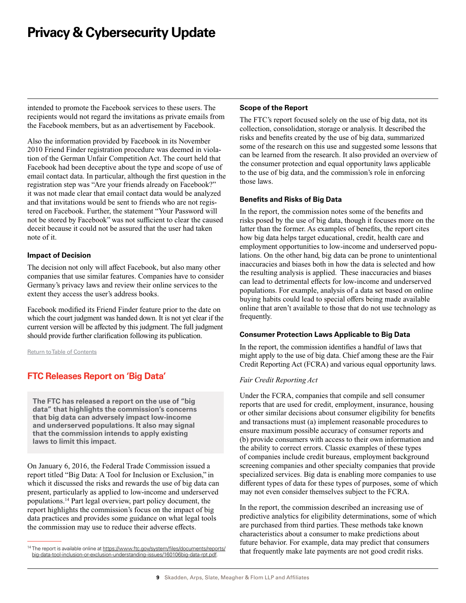<span id="page-8-0"></span>intended to promote the Facebook services to these users. The recipients would not regard the invitations as private emails from the Facebook members, but as an advertisement by Facebook.

Also the information provided by Facebook in its November 2010 Friend Finder registration procedure was deemed in violation of the German Unfair Competition Act. The court held that Facebook had been deceptive about the type and scope of use of email contact data. In particular, although the first question in the registration step was "Are your friends already on Facebook?" it was not made clear that email contact data would be analyzed and that invitations would be sent to friends who are not registered on Facebook. Further, the statement "Your Password will not be stored by Facebook" was not sufficient to clear the caused deceit because it could not be assured that the user had taken note of it.

#### **Impact of Decision**

The decision not only will affect Facebook, but also many other companies that use similar features. Companies have to consider Germany's privacy laws and review their online services to the extent they access the user's address books.

Facebook modified its Friend Finder feature prior to the date on which the court judgment was handed down. It is not yet clear if the current version will be affected by this judgment. The full judgment should provide further clarification following its publication.

[Return to Table of Contents](#page-0-0)

## **FTC Releases Report on 'Big Data'**

**The FTC has released a report on the use of "big data" that highlights the commission's concerns that big data can adversely impact low-income and underserved populations. It also may signal that the commission intends to apply existing laws to limit this impact.** 

On January 6, 2016, the Federal Trade Commission issued a report titled "Big Data: A Tool for Inclusion or Exclusion," in which it discussed the risks and rewards the use of big data can present, particularly as applied to low-income and underserved populations.14 Part legal overview, part policy document, the report highlights the commission's focus on the impact of big data practices and provides some guidance on what legal tools the commission may use to reduce their adverse effects.

#### **Scope of the Report**

The FTC's report focused solely on the use of big data, not its collection, consolidation, storage or analysis. It described the risks and benefits created by the use of big data, summarized some of the research on this use and suggested some lessons that can be learned from the research. It also provided an overview of the consumer protection and equal opportunity laws applicable to the use of big data, and the commission's role in enforcing those laws.

#### **Benefits and Risks of Big Data**

In the report, the commission notes some of the benefits and risks posed by the use of big data, though it focuses more on the latter than the former. As examples of benefits, the report cites how big data helps target educational, credit, health care and employment opportunities to low-income and underserved populations. On the other hand, big data can be prone to unintentional inaccuracies and biases both in how the data is selected and how the resulting analysis is applied. These inaccuracies and biases can lead to detrimental effects for low-income and underserved populations. For example, analysis of a data set based on online buying habits could lead to special offers being made available online that aren't available to those that do not use technology as frequently.

#### **Consumer Protection Laws Applicable to Big Data**

In the report, the commission identifies a handful of laws that might apply to the use of big data. Chief among these are the Fair Credit Reporting Act (FCRA) and various equal opportunity laws.

#### *Fair Credit Reporting Act*

Under the FCRA, companies that compile and sell consumer reports that are used for credit, employment, insurance, housing or other similar decisions about consumer eligibility for benefits and transactions must (a) implement reasonable procedures to ensure maximum possible accuracy of consumer reports and (b) provide consumers with access to their own information and the ability to correct errors. Classic examples of these types of companies include credit bureaus, employment background screening companies and other specialty companies that provide specialized services. Big data is enabling more companies to use different types of data for these types of purposes, some of which may not even consider themselves subject to the FCRA.

In the report, the commission described an increasing use of predictive analytics for eligibility determinations, some of which are purchased from third parties. These methods take known characteristics about a consumer to make predictions about future behavior. For example, data may predict that consumers that frequently make late payments are not good credit risks.

<sup>&</sup>lt;sup>14</sup> The report is available online at [https://www.ftc.gov/system/files/documents/reports/](https://www.ftc.gov/system/files/documents/reports/big-data-tool-inclusion-or-exclusion-understanding-issues/160106big-data-rpt.pdf) [big-data-tool-inclusion-or-exclusion-understanding-issues/160106big-data-rpt.pdf](https://www.ftc.gov/system/files/documents/reports/big-data-tool-inclusion-or-exclusion-understanding-issues/160106big-data-rpt.pdf).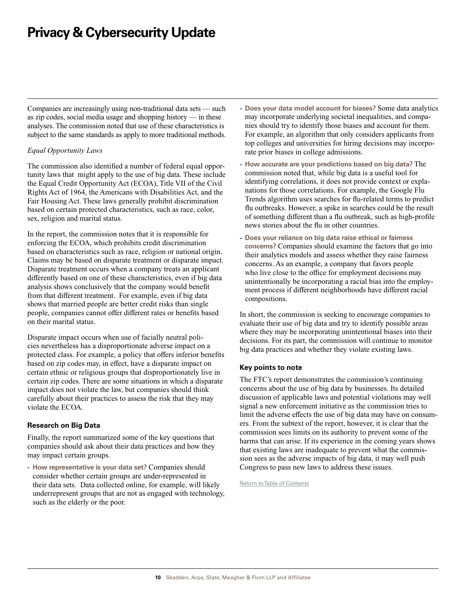Companies are increasingly using non-traditional data sets — such as zip codes, social media usage and shopping history — in these analyses. The commission noted that use of these characteristics is subject to the same standards as apply to more traditional methods.

#### *Equal Opportunity Laws*

The commission also identified a number of federal equal opportunity laws that might apply to the use of big data. These include the Equal Credit Opportunity Act (ECOA), Title VII of the Civil Rights Act of 1964, the Americans with Disabilities Act, and the Fair Housing Act. These laws generally prohibit discrimination based on certain protected characteristics, such as race, color, sex, religion and marital status.

In the report, the commission notes that it is responsible for enforcing the ECOA, which prohibits credit discrimination based on characteristics such as race, religion or national origin. Claims may be based on disparate treatment or disparate impact. Disparate treatment occurs when a company treats an applicant differently based on one of these characteristics, even if big data analysis shows conclusively that the company would benefit from that different treatment. For example, even if big data shows that married people are better credit risks than single people, companies cannot offer different rates or benefits based on their marital status.

Disparate impact occurs when use of facially neutral policies nevertheless has a disproportionate adverse impact on a protected class. For example, a policy that offers inferior benefits based on zip codes may, in effect, have a disparate impact on certain ethnic or religious groups that disproportionately live in certain zip codes. There are some situations in which a disparate impact does not violate the law, but companies should think carefully about their practices to assess the risk that they may violate the ECOA.

### **Research on Big Data**

Finally, the report summarized some of the key questions that companies should ask about their data practices and how they may impact certain groups.

- **How representative is your data set?** Companies should consider whether certain groups are under-represented in their data sets. Data collected online, for example, will likely underrepresent groups that are not as engaged with technology, such as the elderly or the poor.

- **Does your data model account for biases?** Some data analytics may incorporate underlying societal inequalities, and companies should try to identify those biases and account for them. For example, an algorithm that only considers applicants from top colleges and universities for hiring decisions may incorporate prior biases in college admissions.
- **How accurate are your predictions based on big data?** The commission noted that, while big data is a useful tool for identifying correlations, it does not provide context or explanations for those correlations. For example, the Google Flu Trends algorithm uses searches for flu-related terms to predict flu outbreaks. However, a spike in searches could be the result of something different than a flu outbreak, such as high-profile news stories about the flu in other countries.
- **Does your reliance on big data raise ethical or fairness concerns?** Companies should examine the factors that go into their analytics models and assess whether they raise fairness concerns. As an example, a company that favors people who live close to the office for employment decisions may unintentionally be incorporating a racial bias into the employment process if different neighborhoods have different racial compositions.

In short, the commission is seeking to encourage companies to evaluate their use of big data and try to identify possible areas where they may be incorporating unintentional biases into their decisions. For its part, the commission will continue to monitor big data practices and whether they violate existing laws.

#### **Key points to note**

The FTC's report demonstrates the commission's continuing concerns about the use of big data by businesses. Its detailed discussion of applicable laws and potential violations may well signal a new enforcement initiative as the commission tries to limit the adverse effects the use of big data may have on consumers. From the subtext of the report, however, it is clear that the commission sees limits on its authority to prevent some of the harms that can arise. If its experience in the coming years shows that existing laws are inadequate to prevent what the commission sees as the adverse impacts of big data, it may well push Congress to pass new laws to address these issues.

[Return to Table of Contents](#page-0-0)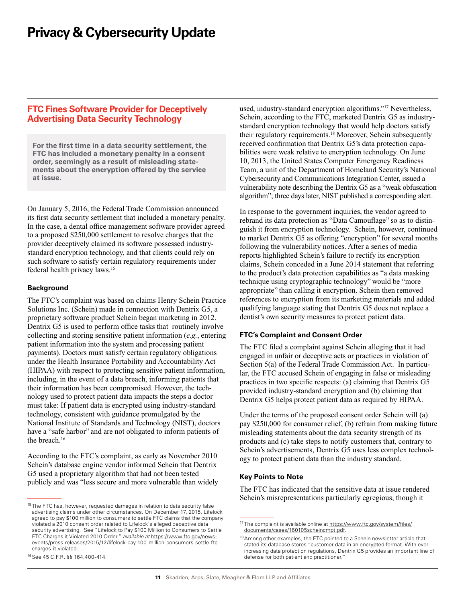### <span id="page-10-0"></span>**FTC Fines Software Provider for Deceptively Advertising Data Security Technology**

**For the first time in a data security settlement, the FTC has included a monetary penalty in a consent order, seemingly as a result of misleading statements about the encryption offered by the service at issue.** 

On January 5, 2016, the Federal Trade Commission announced its first data security settlement that included a monetary penalty. In the case, a dental office management software provider agreed to a proposed \$250,000 settlement to resolve charges that the provider deceptively claimed its software possessed industrystandard encryption technology, and that clients could rely on such software to satisfy certain regulatory requirements under federal health privacy laws.15

#### **Background**

The FTC's complaint was based on claims Henry Schein Practice Solutions Inc. (Schein) made in connection with Dentrix G5, a proprietary software product Schein began marketing in 2012. Dentrix G5 is used to perform office tasks that routinely involve collecting and storing sensitive patient information (*e.g.*, entering patient information into the system and processing patient payments). Doctors must satisfy certain regulatory obligations under the Health Insurance Portability and Accountability Act (HIPAA) with respect to protecting sensitive patient information, including, in the event of a data breach, informing patients that their information has been compromised. However, the technology used to protect patient data impacts the steps a doctor must take: If patient data is encrypted using industry-standard technology, consistent with guidance promulgated by the National Institute of Standards and Technology (NIST), doctors have a "safe harbor" and are not obligated to inform patients of the breach.<sup>16</sup>

According to the FTC's complaint, as early as November 2010 Schein's database engine vendor informed Schein that Dentrix G5 used a proprietary algorithm that had not been tested publicly and was "less secure and more vulnerable than widely

16See 45 C.F.R. §§ 164.400-414.

used, industry-standard encryption algorithms."17 Nevertheless, Schein, according to the FTC, marketed Dentrix G5 as industrystandard encryption technology that would help doctors satisfy their regulatory requirements.18 Moreover, Schein subsequently received confirmation that Dentrix G5's data protection capabilities were weak relative to encryption technology. On June 10, 2013, the United States Computer Emergency Readiness Team, a unit of the Department of Homeland Security's National Cybersecurity and Communications Integration Center, issued a vulnerability note describing the Dentrix G5 as a "weak obfuscation algorithm"; three days later, NIST published a corresponding alert.

In response to the government inquiries, the vendor agreed to rebrand its data protection as "Data Camouflage" so as to distinguish it from encryption technology. Schein, however, continued to market Dentrix G5 as offering "encryption" for several months following the vulnerability notices. After a series of media reports highlighted Schein's failure to rectify its encryption claims, Schein conceded in a June 2014 statement that referring to the product's data protection capabilities as "a data masking technique using cryptographic technology" would be "more appropriate" than calling it encryption. Schein then removed references to encryption from its marketing materials and added qualifying language stating that Dentrix G5 does not replace a dentist's own security measures to protect patient data.

#### **FTC's Complaint and Consent Order**

The FTC filed a complaint against Schein alleging that it had engaged in unfair or deceptive acts or practices in violation of Section 5(a) of the Federal Trade Commission Act. In particular, the FTC accused Schein of engaging in false or misleading practices in two specific respects: (a) claiming that Dentrix G5 provided industry-standard encryption and (b) claiming that Dentrix G5 helps protect patient data as required by HIPAA.

Under the terms of the proposed consent order Schein will (a) pay \$250,000 for consumer relief, (b) refrain from making future misleading statements about the data security strength of its products and (c) take steps to notify customers that, contrary to Schein's advertisements, Dentrix G5 uses less complex technology to protect patient data than the industry standard.

#### **Key Points to Note**

The FTC has indicated that the sensitive data at issue rendered Schein's misrepresentations particularly egregious, though it

<sup>&</sup>lt;sup>15</sup> The FTC has, however, requested damages in relation to data security false advertising claims under other circumstances. On December 17, 2015, Lifelock agreed to pay \$100 million to consumers to settle FTC claims that the company violated a 2010 consent order related to Lifelock's alleged deceptive data security advertising. See "Lifelock to Pay \$100 Million to Consumers to Settle FTC Charges it Violated 2010 Order," *available at* [https://www.ftc.gov/news](https://www.ftc.gov/news-events/press-releases/2015/12/lifelock-pay-100-million-consumers-settle-ftc-charges-it-violated)[events/press-releases/2015/12/lifelock-pay-100-million-consumers-settle-ftc](https://www.ftc.gov/news-events/press-releases/2015/12/lifelock-pay-100-million-consumers-settle-ftc-charges-it-violated)[charges-it-violated.](https://www.ftc.gov/news-events/press-releases/2015/12/lifelock-pay-100-million-consumers-settle-ftc-charges-it-violated)

<sup>&</sup>lt;sup>17</sup> The complaint is available online at [https://www.ftc.gov/system/files/](https://www.ftc.gov/system/files/documents/cases/160105scheincmpt.pdf) [documents/cases/160105scheincmpt.pdf](https://www.ftc.gov/system/files/documents/cases/160105scheincmpt.pdf).

<sup>&</sup>lt;sup>18</sup> Among other examples, the FTC pointed to a Schein newsletter article that stated its database stores "customer data in an encrypted format. With everincreasing data protection regulations, Dentrix G5 provides an important line of defense for both patient and practitioner."